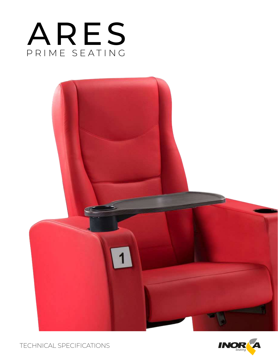





TECHNICAL SPECIFICATIONS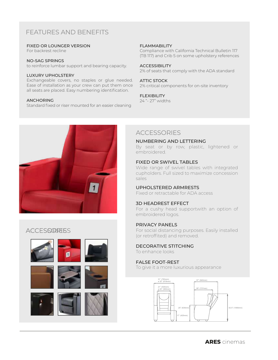# FEATURES AND BENEFITS

#### FIXED OR LOUNGER VERSION

For backrest recline

#### NO-SAG SPRINGS

to reinforce lumbar support and bearing capacity.

#### LUXURY UPHOLSTERY

Exchangeable covers, no staples or glue needed. Ease of installation as your crew can put them once all seats are placed. Easy numbering identification.

### ANCHORING

Standard fixed or riser mounted for an easier cleaning

#### FLAMMABILITY

Compliance with California Technical Bulletin 117 (TB 117) and Crib 5 on some upholstery references

#### ACCESSIBILITY

2% of seats that comply with the ADA standard

#### ATTIC STOCK

2% critical components for on-site inventory

### FLEXIBILITY

24 "- 27" widths



## **ACCESSORIESS**











# **ACCESSORIES**

#### NUMBERING AND LETTERING

By seat or by row, plastic, lightened or embroidered.

### FIXED OR SWIVEL TABLES

Wide range of swivel tables with integrated cupholders. Full sized to maximize concession sales

## UPHOLSTERED ARMRESTS

Fixed or retractable for ADA access

## 3D HEADREST EFFECT

For a cushy head supportwith an option of embroidered logos.

## PRIVACY PANELS

For social distancing purposes. Easily installed (or retroffited) and removed.

#### DECORATIVE STITCHING To enhance looks

## FALSE FOOT-REST

To give it a more luxurious appearance

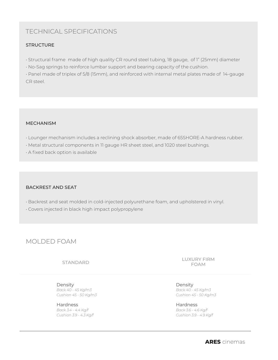# TECHNICAL SPECIFICATIONS

## **STRUCTURE**

- Structural frame made of high quality CR round steel tubing, 18 gauge, of 1" (25mm) diameter
- No-Sag springs to reinforce lumbar support and bearing capacity of the cushion.

• Panel made of triplex of 5/8 (15mm), and reinforced with internal metal plates made of 14-gauge CR steel.

### MECHANISM

- Lounger mechanism includes a reclining shock absorber, made of 65SHORE-A hardness rubber.
- Metal structural components in 11 gauge HR sheet steel, and 1020 steel bushings.
- A fixed back option is available

## BACKREST AND SEAT

- Backrest and seat molded in cold-injected polyurethane foam, and upholstered in vinyl.
- Covers injected in black high impact polypropylene

## MOLDED FOAM

STANDARD

Density *Back 40 - 45 Kg/m3 Cushion 45 - 50 Kg/m3*

Hardness *Back 3.4 - 4.4 Kg/f Cushion 3.9 - 4.3 Kg/f* LUXURY FIRM FOAM

Density *Back 40 - 45 Kg/m3 Cushion 45 - 50 Kg/m3*

Hardness *Back 3.6 - 4.6 Kg/f Cushion 3.9 - 4.9 Kg/f*